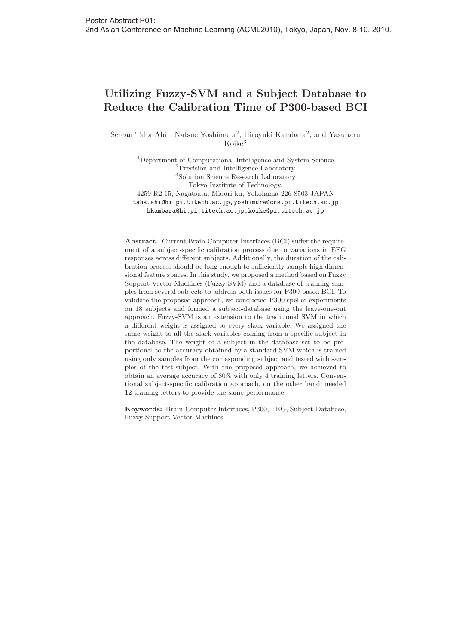## **Utilizing Fuzzy-SVM and a Subject Database to Reduce the Calibration Time of P300-based BCI**

Sercan Taha Ahi<sup>1</sup>, Natsue Yoshimura<sup>2</sup>, Hiroyuki Kambara<sup>2</sup>, and Yasuharu Koike<sup>3</sup>

<sup>1</sup>Department of Computational Intelligence and System Science <sup>2</sup>Precision and Intelligence Laboratory <sup>3</sup>Solution Science Research Laboratory Tokyo Institute of Technology, 4259-R2-15, Nagatsuta, Midori-ku, Yokohama 226-8503 JAPAN taha.ahi@hi.pi.titech.ac.jp,yoshimura@cns.pi.titech.ac.jp hkambara@hi.pi.titech.ac.jp,koike@pi.titech.ac.jp

**Abstract.** Current Brain-Computer Interfaces (BCI) suffer the requirement of a subject-specific calibration process due to variations in EEG responses across different subjects. Additionally, the duration of the calibration process should be long enough to sufficiently sample high dimensional feature spaces. In this study, we proposed a method based on Fuzzy Support Vector Machines (Fuzzy-SVM) and a database of training samples from several subjects to address both issues for P300-based BCI. To validate the proposed approach, we conducted P300 speller experiments on 18 subjects and formed a subject-database using the leave-one-out approach. Fuzzy-SVM is an extension to the traditional SVM in which a different weight is assigned to every slack variable. We assigned the same weight to all the slack variables coming from a specific subject in the database. The weight of a subject in the database set to be proportional to the accuracy obtained by a standard SVM which is trained using only samples from the corresponding subject and tested with samples of the test-subject. With the proposed approach, we achieved to obtain an average accuracy of 80% with only 4 training letters. Conventional subject-specific calibration approach, on the other hand, needed 12 training letters to provide the same performance.

**Keywords:** Brain-Computer Interfaces, P300, EEG, Subject-Database, Fuzzy Support Vector Machines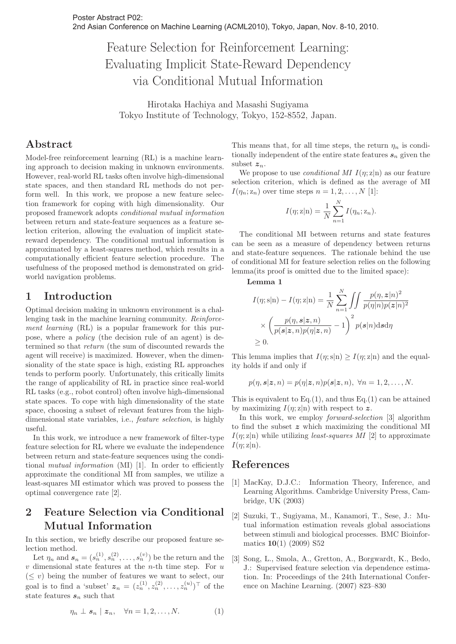## Feature Selection for Reinforcement Learning: Evaluating Implicit State-Reward Dependency via Conditional Mutual Information

Hirotaka Hachiya and Masashi Sugiyama Tokyo Institute of Technology, Tokyo, 152-8552, Japan.

### **Abstract**

Model-free reinforcement learning (RL) is a machine learning approach to decision making in unknown environments. However, real-world RL tasks often involve high-dimensional state spaces, and then standard RL methods do not perform well. In this work, we propose a new feature selection framework for coping with high dimensionality. Our proposed framework adopts conditional mutual information between return and state-feature sequences as a feature selection criterion, allowing the evaluation of implicit statereward dependency. The conditional mutual information is approximated by a least-squares method, which results in a computationally efficient feature selection procedure. The usefulness of the proposed method is demonstrated on gridworld navigation problems.

### **1 Introduction**

Optimal decision making in unknown environment is a challenging task in the machine learning community. Reinforcement learning (RL) is a popular framework for this purpose, where a policy (the decision rule of an agent) is determined so that return (the sum of discounted rewards the agent will receive) is maximized. However, when the dimensionality of the state space is high, existing RL approaches tends to perform poorly. Unfortunately, this critically limits the range of applicability of RL in practice since real-world RL tasks (e.g., robot control) often involve high-dimensional state spaces. To cope with high dimensionality of the state space, choosing a subset of relevant features from the highdimensional state variables, i.e., feature selection, is highly useful.

In this work, we introduce a new framework of filter-type feature selection for RL where we evaluate the independence between return and state-feature sequences using the conditional mutual information (MI) [1]. In order to efficiently approximate the conditional MI from samples, we utilize a least-squares MI estimator which was proved to possess the optimal convergence rate [2].

## **2 Feature Selection via Conditional Mutual Information**

In this section, we briefly describe our proposed feature selection method.

Let  $\eta_n$  and  $s_n = (s_n^{(1)}, s_n^{(2)}, \ldots, s_n^{(v)})$  be the return and the  $v$  dimensional state features at the *n*-th time step. For  $u$  $(\leq v)$  being the number of features we want to select, our goal is to find a 'subset'  $z_n = (z_n^{(1)}, z_n^{(2)}, \ldots, z_n^{(u)})^{\top}$  of the state features  $s_n$  such that

$$
\eta_n \perp s_n \mid z_n, \quad \forall n = 1, 2, \dots, N. \tag{1}
$$

This means that, for all time steps, the return  $\eta_n$  is conditionally independent of the entire state features  $s_n$  given the subset  $z_n$ .

We propose to use *conditional MI*  $I(n; z|n)$  as our feature selection criterion, which is defined as the average of MI  $I(\eta_n; z_n)$  over time steps  $n = 1, 2, \ldots, N$  [1]:

$$
I(\eta; \mathbf{z}|\mathbf{n}) = \frac{1}{N} \sum_{n=1}^{N} I(\eta_n; \mathbf{z}_n).
$$

The conditional MI between returns and state features can be seen as a measure of dependency between returns and state-feature sequences. The rationale behind the use of conditional MI for feature selection relies on the following lemma(its proof is omitted due to the limited space):

#### **Lemma 1**

$$
I(\eta; s|n) - I(\eta; z|n) = \frac{1}{N} \sum_{n=1}^{N} \iint \frac{p(\eta, z|n)^2}{p(\eta|n)p(z|n)^2}
$$

$$
\times \left(\frac{p(\eta, s|z, n)}{p(s|z, n)p(\eta|z, n)} - 1\right)^2 p(s|n) ds d\eta
$$

$$
\geq 0.
$$

This lemma implies that  $I(\eta; s|n) \geq I(\eta; z|n)$  and the equality holds if and only if

$$
p(\eta, s | \mathbf{z}, n) = p(\eta | \mathbf{z}, n)p(\mathbf{s} | \mathbf{z}, n), \ \forall n = 1, 2, \dots, N.
$$

This is equivalent to  $Eq.(1)$ , and thus  $Eq.(1)$  can be attained by maximizing  $I(\eta; \mathbf{z}|\mathbf{n})$  with respect to z.

In this work, we employ forward-selection [3] algorithm to find the subset *z* which maximizing the conditional MI  $I(n; z|n)$  while utilizing *least-squares MI* [2] to approximate  $I(\eta; \mathbf{z}|\mathbf{n}).$ 

- [1] MacKay, D.J.C.: Information Theory, Inference, and Learning Algorithms. Cambridge University Press, Cambridge, UK (2003)
- [2] Suzuki, T., Sugiyama, M., Kanamori, T., Sese, J.: Mutual information estimation reveals global associations between stimuli and biological processes. BMC Bioinformatics **10**(1) (2009) S52
- [3] Song, L., Smola, A., Gretton, A., Borgwardt, K., Bedo, J.: Supervised feature selection via dependence estimation. In: Proceedings of the 24th International Conference on Machine Learning. (2007) 823–830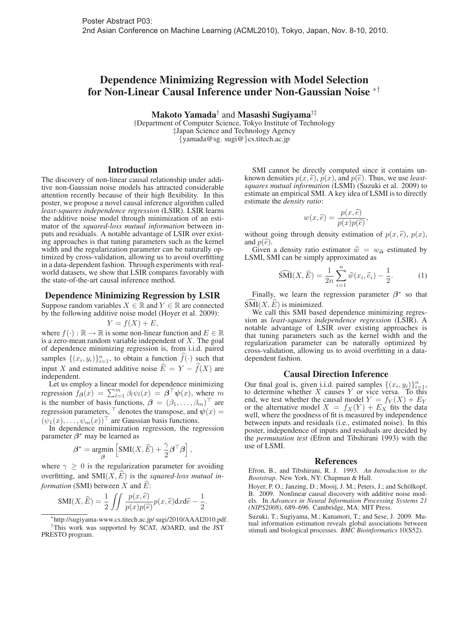## Dependence Minimizing Regression with Model Selection for Non-Linear Causal Inference under Non-Gaussian Noise ∗†

Makoto Yamada† and Masashi Sugiyama†‡

†Department of Computer Science, Tokyo Institute of Technology ‡Japan Science and Technology Agency {yamada@sg. sugi@}cs.titech.ac.jp

#### Introduction

The discovery of non-linear causal relationship under additive non-Gaussian noise models has attracted considerable attention recently because of their high flexibility. In this poster, we propose a novel causal inference algorithm called *least-squares independence regression* (LSIR). LSIR learns the additive noise model through minimization of an estimator of the *squared-loss mutual information* between inputs and residuals. A notable advantage of LSIR over existing approaches is that tuning parameters such as the kernel width and the regularization parameter can be naturally optimized by cross-validation, allowing us to avoid overfitting in a data-dependent fashion. Through experiments with realworld datasets, we show that LSIR compares favorably with the state-of-the-art causal inference method.

#### Dependence Minimizing Regression by LSIR

Suppose random variables  $X \in \mathbb{R}$  and  $Y \in \mathbb{R}$  are connected by the following additive noise model (Hoyer et al. 2009):

 $Y = f(X) + E$ 

where  $f(\cdot): \mathbb{R} \to \mathbb{R}$  is some non-linear function and  $E \in \mathbb{R}$ is a zero-mean random variable independent of  $X$ . The goal of dependence minimizing regression is, from i.i.d. paired samples  $\{(x_i, y_i)\}_{i=1}^n$ , to obtain a function  $\widehat{f}(\cdot)$  such that input X and estimated additive noise  $E = Y - f(X)$  are independent.

Let us employ a linear model for dependence minimizing regression  $f_{\beta}(x) = \sum_{l=1}^{m} \beta_l \psi_l(x) = \beta^{\top} \psi(x)$ , where m is the number of basis functions,  $\boldsymbol{\beta} = (\beta_1, \dots, \beta_m)^\top$  are regression parameters,  $\vdash$  denotes the transpose, and  $\psi(x) =$  $(\psi_1(x), \ldots, \psi_m(x))$  are Gaussian basis functions.

In dependence minimization regression, the regression parameter *β*<sup>∗</sup> may be learned as

$$
\label{eq:beta} \boldsymbol{\beta}^* = \underset{\boldsymbol{\beta}}{\text{argmin}}\left[\text{SMI}(\boldsymbol{X}, \boldsymbol{\widehat{E}}) + \frac{\gamma}{2}\boldsymbol{\beta}^\top\boldsymbol{\beta}\right],
$$

where  $\gamma \geq 0$  is the regularization parameter for avoiding overfitting, and  $SMI(X, \widehat{E})$  is the *squared-loss mutual information* (SMI) between X and  $\widehat{E}$ :

$$
SMI(X, \widehat{E}) = \frac{1}{2} \iint \frac{p(x, \widehat{e})}{p(x)p(\widehat{e})} p(x, \widehat{e}) dx d\widehat{e} - \frac{1}{2}
$$

.

SMI cannot be directly computed since it contains unknown densities  $p(x, \hat{e}), p(x)$ , and  $p(\hat{e})$ . Thus, we use *leastsquares mutual information* (LSMI) (Suzuki et al. 2009) to estimate an empirical SMI. A key idea of LSMI is to directly estimate the *density ratio*:

$$
w(x,\widehat{e}) = \frac{p(x,\widehat{e})}{p(x)p(\widehat{e})},
$$

without going through density estimation of  $p(x, \hat{e})$ ,  $p(x)$ , and  $p(\hat{e})$ .

Given a density ratio estimator  $\hat{w} = w_{\hat{\alpha}}$  estimated by LSMI, SMI can be simply approximated as

$$
\widehat{\text{SMI}}(X,\widehat{E}) = \frac{1}{2n} \sum_{i=1}^{n} \widehat{w}(x_i,\widehat{e}_i) - \frac{1}{2}.
$$
 (1)

Finally, we learn the regression parameter  $\beta^*$  so that  $SMI(X, E)$  is minimized.

We call this SMI based dependence minimizing regression as *least-squares independence regression* (LSIR). A notable advantage of LSIR over existing approaches is that tuning parameters such as the kernel width and the regularization parameter can be naturally optimized by cross-validation, allowing us to avoid overfitting in a datadependent fashion.

#### Causal Direction Inference

Our final goal is, given i.i.d. paired samples  $\{(x_i, y_i)\}_{i=1}^n$ , to determine whether  $X$  causes  $Y$  or vice versa. To this end, we test whether the causal model  $Y = f_Y(X) + E_Y$ or the alternative model  $X = f_X(Y) + E_X$  fits the data well, where the goodness of fit is measured by independence between inputs and residuals (i.e., estimated noise). In this poster, independence of inputs and residuals are decided by the *permutation test* (Efron and Tibshirani 1993) with the use of LSMI.

#### References

Efron, B., and Tibshirani, R. J. 1993. *An Introduction to the Bootstrap*. New York, NY: Chapman & Hall.

Hoyer, P. O.; Janzing, D.; Mooij, J. M.; Peters, J.; and Schölkopf, B. 2009. Nonlinear causal discovery with additive noise models. In *Advances in Neural Information Processing Systems 21 (NIPS2008)*, 689–696. Cambridge, MA: MIT Press.

Suzuki, T.; Sugiyama, M.; Kanamori, T.; and Sese, J. 2009. Mutual information estimation reveals global associations between stimuli and biological processes. *BMC Bioinformatics* 10(S52).

<sup>∗</sup>http://sugiyama-www.cs.titech.ac.jp/ sugi/2010/AAAI2010.pdf. †This work was supported by SCAT, AOARD, and the JST PRESTO program.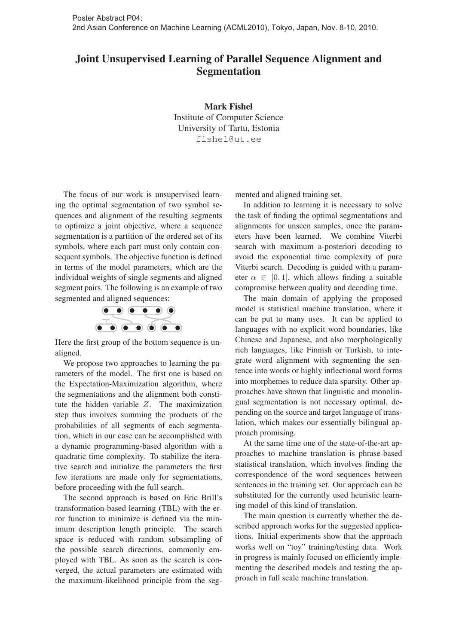## Joint Unsupervised Learning of Parallel Sequence Alignment and Segmentation

Mark Fishel Institute of Computer Science University of Tartu, Estonia fishel@ut.ee

The focus of our work is unsupervised learning the optimal segmentation of two symbol sequences and alignment of the resulting segments to optimize a joint objective, where a sequence segmentation is a partition of the ordered set of its symbols, where each part must only contain consequent symbols. The objective function is defined in terms of the model parameters, which are the individual weights of single segments and aligned segment pairs. The following is an example of two segmented and aligned sequences:



Here the first group of the bottom sequence is unaligned.

We propose two approaches to learning the parameters of the model. The first one is based on the Expectation-Maximization algorithm, where the segmentations and the alignment both constitute the hidden variable Z. The maximization step thus involves summing the products of the probabilities of all segments of each segmentation, which in our case can be accomplished with a dynamic programming-based algorithm with a quadratic time complexity. To stabilize the iterative search and initialize the parameters the first few iterations are made only for segmentations, before proceeding with the full search.

The second approach is based on Eric Brill's transformation-based learning (TBL) with the error function to minimize is defined via the minimum description length principle. The search space is reduced with random subsampling of the possible search directions, commonly employed with TBL. As soon as the search is converged, the actual parameters are estimated with the maximum-likelihood principle from the segmented and aligned training set.

In addition to learning it is necessary to solve the task of finding the optimal segmentations and alignments for unseen samples, once the parameters have been learned. We combine Viterbi search with maximum a-posteriori decoding to avoid the exponential time complexity of pure Viterbi search. Decoding is guided with a parameter  $\alpha \in [0, 1]$ , which allows finding a suitable compromise between quality and decoding time.

The main domain of applying the proposed model is statistical machine translation, where it can be put to many uses. It can be applied to languages with no explicit word boundaries, like Chinese and Japanese, and also morphologically rich languages, like Finnish or Turkish, to integrate word alignment with segmenting the sentence into words or highly inflectional word forms into morphemes to reduce data sparsity. Other approaches have shown that linguistic and monolingual segmentation is not necessary optimal, depending on the source and target language of translation, which makes our essentially bilingual approach promising.

At the same time one of the state-of-the-art approaches to machine translation is phrase-based statistical translation, which involves finding the correspondence of the word sequences between sentences in the training set. Our approach can be substituted for the currently used heuristic learning model of this kind of translation.

The main question is currently whether the described approach works for the suggested applications. Initial experiments show that the approach works well on "toy" training/testing data. Work in progress is mainly focused on efficiently implementing the described models and testing the approach in full scale machine translation.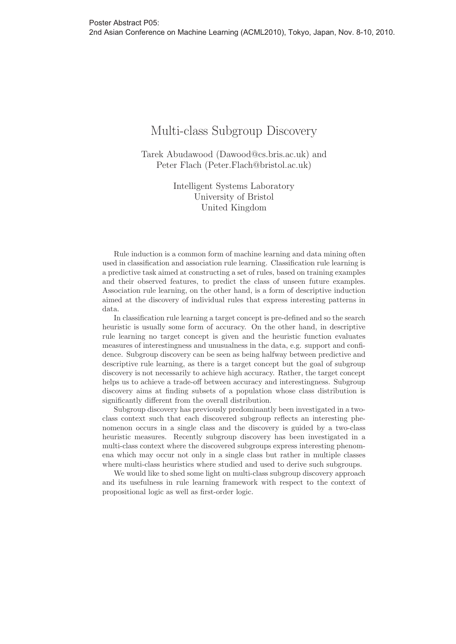## Multi-class Subgroup Discovery

Tarek Abudawood (Dawood@cs.bris.ac.uk) and Peter Flach (Peter.Flach@bristol.ac.uk)

> Intelligent Systems Laboratory University of Bristol United Kingdom

Rule induction is a common form of machine learning and data mining often used in classification and association rule learning. Classification rule learning is a predictive task aimed at constructing a set of rules, based on training examples and their observed features, to predict the class of unseen future examples. Association rule learning, on the other hand, is a form of descriptive induction aimed at the discovery of individual rules that express interesting patterns in data.

In classification rule learning a target concept is pre-defined and so the search heuristic is usually some form of accuracy. On the other hand, in descriptive rule learning no target concept is given and the heuristic function evaluates measures of interestingness and unusualness in the data, e.g. support and confidence. Subgroup discovery can be seen as being halfway between predictive and descriptive rule learning, as there is a target concept but the goal of subgroup discovery is not necessarily to achieve high accuracy. Rather, the target concept helps us to achieve a trade-off between accuracy and interestingness. Subgroup discovery aims at finding subsets of a population whose class distribution is significantly different from the overall distribution.

Subgroup discovery has previously predominantly been investigated in a twoclass context such that each discovered subgroup reflects an interesting phenomenon occurs in a single class and the discovery is guided by a two-class heuristic measures. Recently subgroup discovery has been investigated in a multi-class context where the discovered subgroups express interesting phenomena which may occur not only in a single class but rather in multiple classes where multi-class heuristics where studied and used to derive such subgroups.

We would like to shed some light on multi-class subgroup discovery approach and its usefulness in rule learning framework with respect to the context of propositional logic as well as first-order logic.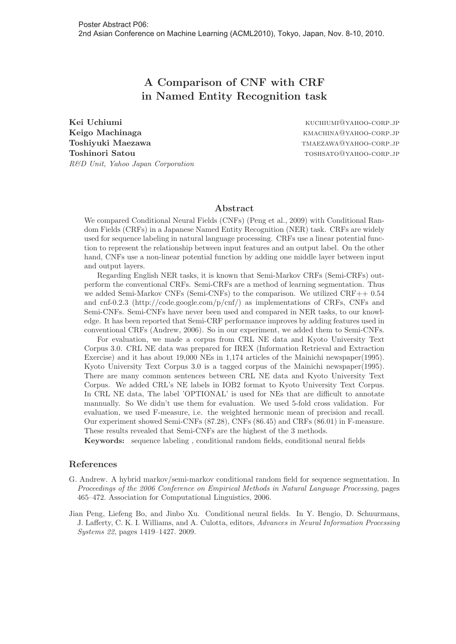## **A Comparison of CNF with CRF in Named Entity Recognition task**

**Kei Uchiumi** Kuchiumi kuchiumi@yahoo-corp.jp **Keigo Machinaga** kmachina@yahoo-corp.jp **Toshiyuki Maezawa** tmaezawa@yahoo-corp.jp **Toshinori Satou** to the corp. The corp of the corp. Toshs and the corp. Toshinori Satou R&D Unit, Yahoo Japan Corporation

#### **Abstract**

We compared Conditional Neural Fields (CNFs) (Peng et al., 2009) with Conditional Random Fields (CRFs) in a Japanese Named Entity Recognition (NER) task. CRFs are widely used for sequence labeling in natural language processing. CRFs use a linear potential function to represent the relationship between input features and an output label. On the other hand, CNFs use a non-linear potential function by adding one middle layer between input and output layers.

Regarding English NER tasks, it is known that Semi-Markov CRFs (Semi-CRFs) outperform the conventional CRFs. Semi-CRFs are a method of learning segmentation. Thus we added Semi-Markov CNFs (Semi-CNFs) to the comparison. We utilized CRF++ 0.54 and cnf-0.2.3 (http://code.google.com/p/cnf/) as implementations of CRFs, CNFs and Semi-CNFs. Semi-CNFs have never been used and compared in NER tasks, to our knowledge. It has been reported that Semi-CRF performance improves by adding features used in conventional CRFs (Andrew, 2006). So in our experiment, we added them to Semi-CNFs.

For evaluation, we made a corpus from CRL NE data and Kyoto University Text Corpus 3.0. CRL NE data was prepared for IREX (Information Retrieval and Extraction Exercise) and it has about 19,000 NEs in 1,174 articles of the Mainichi newspaper(1995). Kyoto University Text Corpus 3.0 is a tagged corpus of the Mainichi newspaper(1995). There are many common sentences between CRL NE data and Kyoto University Text Corpus. We added CRL's NE labels in IOB2 format to Kyoto University Text Corpus. In CRL NE data, The label 'OPTIONAL' is used for NEs that are difficult to annotate mannually. So We didn't use them for evaluation. We used 5-fold cross validation. For evaluation, we used F-measure, i.e. the weighted hermonic mean of precision and recall. Our experiment showed Semi-CNFs (87.28), CNFs (86.45) and CRFs (86.01) in F-measure. These results revealed that Semi-CNFs are the highest of the 3 methods.

**Keywords:** sequence labeling , conditional random fields, conditional neural fields

- G. Andrew. A hybrid markov/semi-markov conditional random field for sequence segmentation. In Proceedings of the 2006 Conference on Empirical Methods in Natural Language Processing, pages 465–472. Association for Computational Linguistics, 2006.
- Jian Peng, Liefeng Bo, and Jinbo Xu. Conditional neural fields. In Y. Bengio, D. Schuurmans, J. Lafferty, C. K. I. Williams, and A. Culotta, editors, Advances in Neural Information Processing Systems 22, pages 1419–1427. 2009.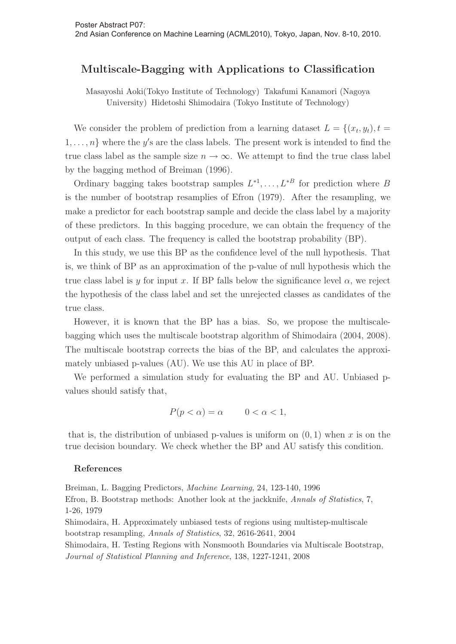### **Multiscale-Bagging with Applications to Classification**

Masayoshi Aoki(Tokyo Institute of Technology) Takafumi Kanamori (Nagoya University) Hidetoshi Shimodaira (Tokyo Institute of Technology)

We consider the problem of prediction from a learning dataset  $L = \{(x_t, y_t), t =$  $1, \ldots, n$  where the y's are the class labels. The present work is intended to find the true class label as the sample size  $n \to \infty$ . We attempt to find the true class label by the bagging method of Breiman (1996).

Ordinary bagging takes bootstrap samples  $L^{*1}, \ldots, L^{*B}$  for prediction where B is the number of bootstrap resamplies of Efron (1979). After the resampling, we make a predictor for each bootstrap sample and decide the class label by a majority of these predictors. In this bagging procedure, we can obtain the frequency of the output of each class. The frequency is called the bootstrap probability (BP).

In this study, we use this BP as the confidence level of the null hypothesis. That is, we think of BP as an approximation of the p-value of null hypothesis which the true class label is y for input x. If BP falls below the significance level  $\alpha$ , we reject the hypothesis of the class label and set the unrejected classes as candidates of the true class.

However, it is known that the BP has a bias. So, we propose the multiscalebagging which uses the multiscale bootstrap algorithm of Shimodaira (2004, 2008). The multiscale bootstrap corrects the bias of the BP, and calculates the approximately unbiased p-values (AU). We use this AU in place of BP.

We performed a simulation study for evaluating the BP and AU. Unbiased pvalues should satisfy that,

$$
P(p < \alpha) = \alpha \qquad 0 < \alpha < 1,
$$

that is, the distribution of unbiased p-values is uniform on  $(0, 1)$  when x is on the true decision boundary. We check whether the BP and AU satisfy this condition.

#### **References**

Breiman, L. Bagging Predictors, Machine Learning, 24, 123-140, 1996 Efron, B. Bootstrap methods: Another look at the jackknife, Annals of Statistics, 7, 1-26, 1979 Shimodaira, H. Approximately unbiased tests of regions using multistep-multiscale bootstrap resampling, Annals of Statistics, 32, 2616-2641, 2004 Shimodaira, H. Testing Regions with Nonsmooth Boundaries via Multiscale Bootstrap, Journal of Statistical Planning and Inference, 138, 1227-1241, 2008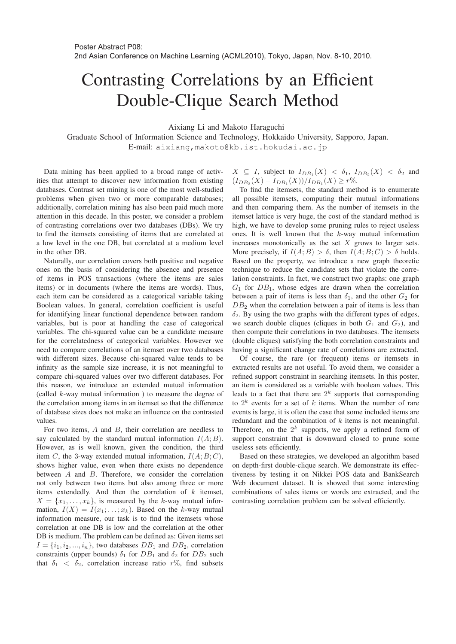# Contrasting Correlations by an Efficient Double-Clique Search Method

Aixiang Li and Makoto Haraguchi

Graduate School of Information Science and Technology, Hokkaido University, Sapporo, Japan. E-mail: aixiang,makoto@kb.ist.hokudai.ac.jp

Data mining has been applied to a broad range of activities that attempt to discover new information from existing databases. Contrast set mining is one of the most well-studied problems when given two or more comparable databases; additionally, correlation mining has also been paid much more attention in this decade. In this poster, we consider a problem of contrasting correlations over two databases (DBs). We try to find the itemsets consisting of items that are correlated at a low level in the one DB, but correlated at a medium level in the other DB.

Naturally, our correlation covers both positive and negative ones on the basis of considering the absence and presence of items in POS transactions (where the items are sales items) or in documents (where the items are words). Thus, each item can be considered as a categorical variable taking Boolean values. In general, correlation coefficient is useful for identifying linear functional dependence between random variables, but is poor at handling the case of categorical variables. The chi-squared value can be a candidate measure for the correlatedness of categorical variables. However we need to compare correlations of an itemset over two databases with different sizes. Because chi-squared value tends to be infinity as the sample size increase, it is not meaningful to compare chi-squared values over two different databases. For this reason, we introduce an extended mutual information (called k-way mutual information ) to measure the degree of the correlation among items in an itemset so that the difference of database sizes does not make an influence on the contrasted values.

For two items,  $A$  and  $B$ , their correlation are needless to say calculated by the standard mutual information  $I(A;B)$ . However, as is well known, given the condition, the third item C, the 3-way extended mutual information,  $I(A;B;C)$ , shows higher value, even when there exists no dependence between A and B. Therefore, we consider the correlation not only between two items but also among three or more items extendedly. And then the correlation of  $k$  itemset,  $X = \{x_1, \ldots, x_k\}$ , is measured by the k-way mutual information,  $I(X) = I(x_1; \ldots; x_k)$ . Based on the k-way mutual information measure, our task is to find the itemsets whose correlation at one DB is low and the correlation at the other DB is medium. The problem can be defined as: Given items set  $I = \{i_1, i_2, ..., i_n\}$ , two databases  $DB_1$  and  $DB_2$ , correlation constraints (upper bounds)  $\delta_1$  for  $DB_1$  and  $\delta_2$  for  $DB_2$  such that  $\delta_1 < \delta_2$ , correlation increase ratio r%, find subsets

 $X \subseteq I$ , subject to  $I_{DB_1}(X) < \delta_1$ ,  $I_{DB_2}(X) < \delta_2$  and  $(I_{DB_2}(X) - I_{DB_1}(X))/I_{DB_1}(X) \geq r\%.$ 

To find the itemsets, the standard method is to enumerate all possible itemsets, computing their mutual informations and then comparing them. As the number of itemsets in the itemset lattice is very huge, the cost of the standard method is high, we have to develop some pruning rules to reject useless ones. It is well known that the  $k$ -way mutual information increases monotonically as the set  $X$  grows to larger sets. More precisely, if  $I(A;B) > \delta$ , then  $I(A;B;C) > \delta$  holds. Based on the property, we introduce a new graph theoretic technique to reduce the candidate sets that violate the correlation constraints. In fact, we construct two graphs: one graph  $G_1$  for  $DB_1$ , whose edges are drawn when the correlation between a pair of items is less than  $\delta_1$ , and the other  $G_2$  for  $DB<sub>2</sub>$  when the correlation between a pair of items is less than  $\delta_2$ . By using the two graphs with the different types of edges, we search double cliques (cliques in both  $G_1$  and  $G_2$ ), and then compute their correlations in two databases. The itemsets (double cliques) satisfying the both correlation constraints and having a significant change rate of correlations are extracted.

Of course, the rare (or frequent) items or itemsets in extracted results are not useful. To avoid them, we consider a refined support constraint in searching itemsets. In this poster, an item is considered as a variable with boolean values. This leads to a fact that there are  $2^k$  supports that corresponding to  $2^k$  events for a set of k items. When the number of rare events is large, it is often the case that some included items are redundant and the combination of  $k$  items is not meaningful. Therefore, on the  $2^k$  supports, we apply a refined form of support constraint that is downward closed to prune some useless sets efficiently.

Based on these strategies, we developed an algorithm based on depth-first double-clique search. We demonstrate its effectiveness by testing it on Nikkei POS data and BankSearch Web document dataset. It is showed that some interesting combinations of sales items or words are extracted, and the contrasting correlation problem can be solved efficiently.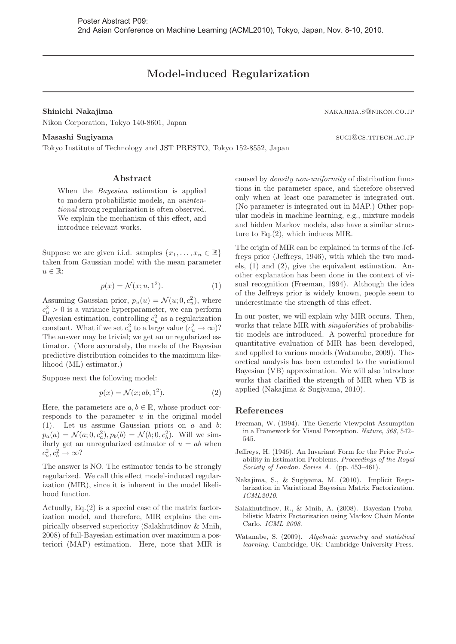## **Model-induced Regularization**

Nikon Corporation, Tokyo 140-8601, Japan

Masses of Technology and JST PRESTO, Tokyo 152-8552, Japan **substitute of Technology and JST PRESTO**, Tokyo 152-8552, Japan

#### **Abstract**

When the Bayesian estimation is applied to modern probabilistic models, an unintentional strong regularization is often observed. We explain the mechanism of this effect, and introduce relevant works.

Suppose we are given i.i.d. samples  $\{x_1, \ldots, x_n \in \mathbb{R}\}\$ taken from Gaussian model with the mean parameter  $u \in \mathbb{R}$ :

$$
p(x) = \mathcal{N}(x; u, 1^2). \tag{1}
$$

Assuming Gaussian prior,  $p_u(u) = \mathcal{N}(u; 0, c_u^2)$ , where  $c_u^2 > 0$  is a variance hyperparameter, we can perform Bayesian estimation, controlling  $c_u^2$  as a regularization constant. What if we set  $c_u^2$  to a large value  $(c_u^2 \to \infty)$ ? The answer may be trivial; we get an unregularized estimator. (More accurately, the mode of the Bayesian predictive distribution coincides to the maximum likelihood (ML) estimator.)

Suppose next the following model:

$$
p(x) = \mathcal{N}(x; ab, 1^2). \tag{2}
$$

Here, the parameters are  $a, b \in \mathbb{R}$ , whose product corresponds to the parameter  $u$  in the original model (1). Let us assume Gaussian priors on a and b:  $p_a(a) = \mathcal{N}(a; 0, c_a^2), p_b(b) = \mathcal{N}(b; 0, c_b^2)$ . Will we similarly get an unregularized estimator of  $u = ab$  when  $c_a^2, c_b^2 \rightarrow \infty$ ?

The answer is NO. The estimator tends to be strongly regularized. We call this effect model-induced regularization (MIR), since it is inherent in the model likelihood function.

Actually,  $Eq.(2)$  is a special case of the matrix factorization model, and therefore, MIR explains the empirically observed superiority (Salakhutdinov & Mnih, 2008) of full-Bayesian estimation over maximum a posteriori (MAP) estimation. Here, note that MIR is

caused by density non-uniformity of distribution functions in the parameter space, and therefore observed only when at least one parameter is integrated out. (No parameter is integrated out in MAP.) Other popular models in machine learning, e.g., mixture models and hidden Markov models, also have a similar structure to Eq.(2), which induces MIR.

The origin of MIR can be explained in terms of the Jeffreys prior (Jeffreys, 1946), with which the two models, (1) and (2), give the equivalent estimation. Another explanation has been done in the context of visual recognition (Freeman, 1994). Although the idea of the Jeffreys prior is widely known, people seem to underestimate the strength of this effect.

In our poster, we will explain why MIR occurs. Then, works that relate MIR with singularities of probabilistic models are introduced. A powerful procedure for quantitative evaluation of MIR has been developed, and applied to various models (Watanabe, 2009). Theoretical analysis has been extended to the variational Bayesian (VB) approximation. We will also introduce works that clarified the strength of MIR when VB is applied (Nakajima & Sugiyama, 2010).

- Freeman, W. (1994). The Generic Viewpoint Assumption in a Framework for Visual Perception. Nature, 368, 542– 545.
- Jeffreys, H. (1946). An Invariant Form for the Prior Probability in Estimation Problems. Proceedings of the Royal Society of London. Series A. (pp. 453–461).
- Nakajima, S., & Sugiyama, M. (2010). Implicit Regularization in Variational Bayesian Matrix Factorization. ICML2010.
- Salakhutdinov, R., & Mnih, A. (2008). Bayesian Probabilistic Matrix Factorization using Markov Chain Monte Carlo. ICML 2008.
- Watanabe, S. (2009). Algebraic geometry and statistical learning. Cambridge, UK: Cambridge University Press.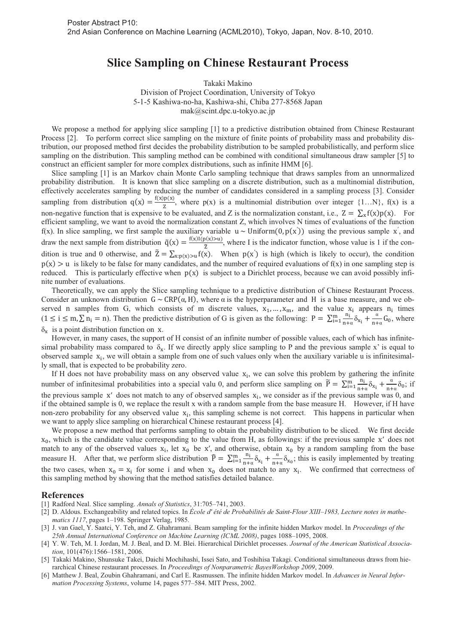## **Slice Sampling on Chinese Restaurant Process**

Takaki Makino

Division of Project Coordination, University of Tokyo 5-1-5 Kashiwa-no-ha, Kashiwa-shi, Chiba 277-8568 Japan mak@scint.dpc.u-tokyo.ac.jp

We propose a method for applying slice sampling [1] to a predictive distribution obtained from Chinese Restaurant Process [2]. To perform correct slice sampling on the mixture of finite points of probability mass and probability distribution, our proposed method first decides the probability distribution to be sampled probabilistically, and perform slice sampling on the distribution. This sampling method can be combined with conditional simultaneous draw sampler [5] to construct an efficient sampler for more complex distributions, such as infinite HMM [6].

Slice sampling [1] is an Markov chain Monte Carlo sampling technique that draws samples from an unnormalized probability distribution. It is known that slice sampling on a discrete distribution, such as a multinomial distribution, effectively accelerates sampling by reducing the number of candidates considered in a sampling process [3]. Consider sampling from distribution  $q(x) = \frac{f(x)p(x)}{z}$ , where  $p(x)$  is a multinomial distribution over integer {1...N}, f(x) is a non-negative function that is expensive to be evaluated, and Z is the normalization constant, i.e.,  $Z = \sum_{x} f(x)p(x)$ . For efficient sampling, we want to avoid the normalization constant Z, which involves N times of evaluations of the function f(x). In slice sampling, we first sample the auxiliary variable  $u \sim \text{Uniform}(0, p(x'))$  using the previous sample x', and draw the next sample from distribution  $\tilde{q}(x) = \frac{f(x)I(p(x) > u)}{\tilde{z}}$ , where I is the indicator function, whose value is 1 if the condition is true and 0 otherwise, and  $\tilde{Z} = \sum_{x:p(x)>u} f(x)$ . When  $p(x')$  is high (which is likely to occur), the condition  $p(x) > u$  is likely to be false for many candidates, and the number of required evaluations of  $f(x)$  in one sampling step is reduced. This is particularly effective when  $p(x)$  is subject to a Dirichlet process, because we can avoid possibly infinite number of evaluations.

Theoretically, we can apply the Slice sampling technique to a predictive distribution of Chinese Restaurant Process. Consider an unknown distribution  $G \sim \text{CRP}(\alpha, H)$ , where  $\alpha$  is the hyperparameter and H is a base measure, and we observed n samples from G, which consists of m discrete values,  $x_1, ..., x_m$ , and the value  $x_i$  appears  $n_i$  times  $(1 \le i \le m, \sum n_i = n)$ . Then the predictive distribution of G is given as the following:  $P = \sum_{i=1}^{m} \frac{n_i}{n+\alpha} \delta_{x_i} + \frac{\alpha}{n+\alpha} G_0$ , where  $\delta_x$  is a point distribution function on x.

However, in many cases, the support of H consist of an infinite number of possible values, each of which has infinitesimal probability mass compared to  $\delta_{x}$ . If we directly apply slice sampling to P and the previous sample x' is equal to observed sample  $x_i$ , we will obtain a sample from one of such values only when the auxiliary variable u is infinitesimally small, that is expected to be probability zero.

If H does not have probability mass on any observed value  $x_i$ , we can solve this problem by gathering the infinite number of infinitesimal probabilities into a special valu 0, and perform slice sampling on  $\tilde{P} = \sum_{i=1}^{m} \frac{n_i}{n+\alpha} \delta_{x_i} + \frac{\alpha}{n+\alpha} \delta_0$ ; if the previous sample  $x'$  does not match to any of observed samples  $x_i$ , we consider as if the previous sample was 0, and if the obtained sample is 0, we replace the result x with a random sample from the base measure H. However, if H have non-zero probability for any observed value  $x_i$ , this sampling scheme is not correct. This happens in particular when we want to apply slice sampling on hierarchical Chinese restaurant process [4].

We propose a new method that performs sampling to obtain the probability distribution to be sliced. We first decide  $x_0$ , which is the candidate value corresponding to the value from H, as followings: if the previous sample x' does not match to any of the observed values  $x_i$ , let  $x_0$  be  $x'$ , and otherwise, obtain  $x_0$  by a random sampling from the base measure H. After that, we perform slice distribution  $\hat{P} = \sum_{i=1}^{m} \frac{n_i}{n+\alpha} \delta_{x_i} + \frac{\alpha}{n+\alpha} \delta_{x_0}$ ; this is easily implemented by treating the two cases, when  $x_0 = x_i$  for some i and when  $x_0$  does not match to any  $x_i$ . We confirmed that correctness of this sampling method by showing that the method satisfies detailed balance.

- [1] Radford Neal. Slice sampling. *Annals of Statistics*, 31:705–741, 2003.
- [2] D. Aldous. Exchangeability and related topics. In *École d' été de Probabilités de Saint-Flour XIII–1983, Lecture notes in mathematics 1117*, pages 1–198. Springer Verlag, 1985.
- [3] J. van Gael, Y. Saatci, Y. Teh, and Z. Ghahramani. Beam sampling for the infinite hidden Markov model. In *Proceedings of the 25th Annual International Conference on Machine Learning (ICML 2008)*, pages 1088–1095, 2008.
- [4] Y. W. Teh, M. I. Jordan, M. J. Beal, and D. M. Blei. Hierarchical Dirichlet processes. *Journal of the American Statistical Association*, 101(476):1566–1581, 2006.
- [5] Takaki Makino, Shunsuke Takei, Daichi Mochihashi, Issei Sato, and Toshihisa Takagi. Conditional simultaneous draws from hierarchical Chinese restaurant processes. In *Proceedings of Nonparametric BayesWorkshop 2009*, 2009.
- [6] Matthew J. Beal, Zoubin Ghahramani, and Carl E. Rasmussen. The infinite hidden Markov model. In *Advances in Neural Information Processing Systems*, volume 14, pages 577–584. MIT Press, 2002.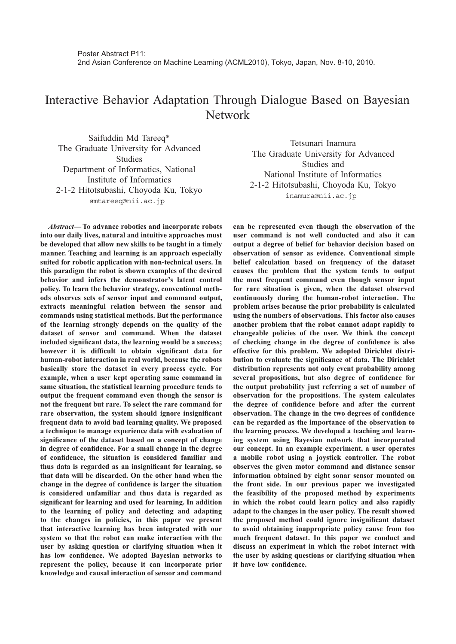## Interactive Behavior Adaptation Through Dialogue Based on Bayesian Network

Saifuddin Md Tareeq\* The Graduate University for Advanced **Studies** Department of Informatics, National Institute of Informatics 2-1-2 Hitotsubashi, Choyoda Ku, Tokyo smtareeq@nii.ac.jp

*Abstract***— To advance robotics and incorporate robots into our daily lives, natural and intuitive approaches must be developed that allow new skills to be taught in a timely manner. Teaching and learning is an approach especially suited for robotic application with non-technical users. In this paradigm the robot is shown examples of the desired behavior and infers the demonstrator's latent control policy. To learn the behavior strategy, conventional methods observes sets of sensor input and command output, extracts meaningful relation between the sensor and commands using statistical methods. But the performance of the learning strongly depends on the quality of the dataset of sensor and command. When the dataset included significant data, the learning would be a success; however it is difficult to obtain significant data for human-robot interaction in real world, because the robots basically store the dataset in every process cycle. For example, when a user kept operating same command in same situation, the statistical learning procedure tends to output the frequent command even though the sensor is not the frequent but rare. To select the rare command for rare observation, the system should ignore insignificant frequent data to avoid bad learning quality. We proposed a technique to manage experience data with evaluation of significance of the dataset based on a concept of change in degree of confidence. For a small change in the degree of confidence, the situation is considered familiar and thus data is regarded as an insignificant for learning, so that data will be discarded. On the other hand when the change in the degree of confidence is larger the situation is considered unfamiliar and thus data is regarded as significant for learning and used for learning. In addition to the learning of policy and detecting and adapting to the changes in policies, in this paper we present that interactive learning has been integrated with our system so that the robot can make interaction with the user by asking question or clarifying situation when it has low confidence. We adopted Bayesian networks to represent the policy, because it can incorporate prior knowledge and causal interaction of sensor and command**

Tetsunari Inamura The Graduate University for Advanced Studies and National Institute of Informatics 2-1-2 Hitotsubashi, Choyoda Ku, Tokyo inamura@nii.ac.jp

**can be represented even though the observation of the user command is not well conducted and also it can output a degree of belief for behavior decision based on observation of sensor as evidence. Conventional simple belief calculation based on frequency of the dataset causes the problem that the system tends to output the most frequent command even though sensor input for rare situation is given, when the dataset observed continuously during the human-robot interaction. The problem arises because the prior probability is calculated using the numbers of observations. This factor also causes another problem that the robot cannot adapt rapidly to changeable policies of the user. We think the concept of checking change in the degree of confidence is also effective for this problem. We adopted Dirichlet distribution to evaluate the significance of data. The Dirichlet distribution represents not only event probability among several propositions, but also degree of confidence for the output probability just referring a set of number of observation for the propositions. The system calculates the degree of confidence before and after the current observation. The change in the two degrees of confidence can be regarded as the importance of the observation to the learning process. We developed a teaching and learning system using Bayesian network that incorporated our concept. In an example experiment, a user operates a mobile robot using a joystick controller. The robot observes the given motor command and distance sensor information obtained by eight sonar sensor mounted on the front side. In our previous paper we investigated the feasibility of the proposed method by experiments in which the robot could learn policy and also rapidly adapt to the changes in the user policy. The result showed the proposed method could ignore insignificant dataset to avoid obtaining inappropriate policy cause from too much frequent dataset. In this paper we conduct and discuss an experiment in which the robot interact with the user by asking questions or clarifying situation when it have low confidence.**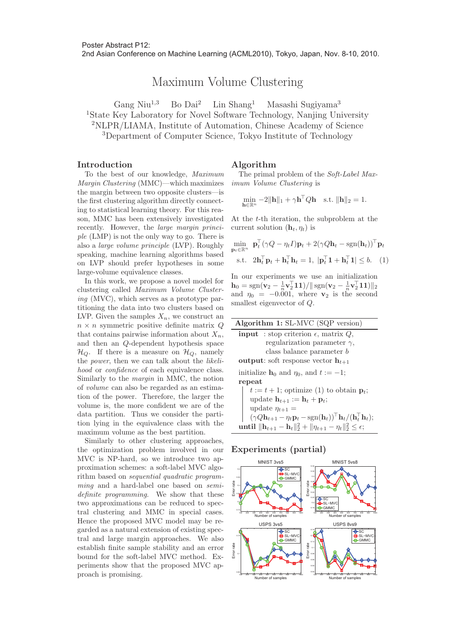2nd Asian Conference on Machine Learning (ACML2010), Tokyo, Japan, Nov. 8-10, 2010.

# Maximum Volume Clustering

Gang Niu<sup>1,3</sup> Bo Dai<sup>2</sup> Lin Shang<sup>1</sup> Masashi Sugiyama<sup>3</sup> State Key Laboratory for Novel Software Technology, Nanjing University NLPR/LIAMA, Institute of Automation, Chinese Academy of Science Department of Computer Science, Tokyo Institute of Technology

#### **Introduction**

## **Algorithm**

To the best of our knowledge, Maximum Margin Clustering (MMC)—which maximizes the margin between two opposite clusters—is the first clustering algorithm directly connecting to statistical learning theory. For this reason, MMC has been extensively investigated recently. However, the large margin principle (LMP) is not the only way to go. There is also a large volume principle (LVP). Roughly speaking, machine learning algorithms based on LVP should prefer hypotheses in some large-volume equivalence classes.

In this work, we propose a novel model for clustering called Maximum Volume Clustering (MVC), which serves as a prototype partitioning the data into two clusters based on LVP. Given the samples  $X_n$ , we construct an  $n \times n$  symmetric positive definite matrix Q that contains pairwise information about  $X_n$ , and then an Q-dependent hypothesis space  $\mathcal{H}_Q$ . If there is a measure on  $\mathcal{H}_Q$ , namely the *power*, then we can talk about the *likeli*hood or confidence of each equivalence class. Similarly to the margin in MMC, the notion of volume can also be regarded as an estimation of the power. Therefore, the larger the volume is, the more confident we are of the data partition. Thus we consider the partition lying in the equivalence class with the maximum volume as the best partition.

Similarly to other clustering approaches, the optimization problem involved in our MVC is NP-hard, so we introduce two approximation schemes: a soft-label MVC algorithm based on *sequential quadratic program*ming and a hard-label one based on semidefinite programming. We show that these two approximations can be reduced to spectral clustering and MMC in special cases. Hence the proposed MVC model may be regarded as a natural extension of existing spectral and large margin approaches. We also establish finite sample stability and an error bound for the soft-label MVC method. Experiments show that the proposed MVC approach is promising.

The primal problem of the Soft-Label Maximum Volume Clustering is

$$
\min_{\mathbf{h}\in\mathbb{R}^n} -2\|\mathbf{h}\|_1 + \gamma \mathbf{h}^\top Q \mathbf{h} \quad \text{s.t. } \|\mathbf{h}\|_2 = 1.
$$

At the t-th iteration, the subproblem at the current solution  $(\mathbf{h}_t, \eta_t)$  is

$$
\min_{\mathbf{p}_t \in \mathbb{R}^n} \ \mathbf{p}_t^\top (\gamma Q - \eta_t I) \mathbf{p}_t + 2(\gamma Q \mathbf{h}_t - \text{sgn}(\mathbf{h}_t))^\top \mathbf{p}_t
$$
\ns.t. 
$$
2\mathbf{h}_t^\top \mathbf{p}_t + \mathbf{h}_t^\top \mathbf{h}_t = 1, \ |\mathbf{p}_t^\top \mathbf{1} + \mathbf{h}_t^\top \mathbf{1}| \leq b. \tag{1}
$$

In our experiments we use an initialization  $\mathbf{h}_0 = \text{sgn}(\mathbf{v}_2 - \frac{1}{n}\mathbf{v}_2^{\top}\mathbf{1}\mathbf{1}) / || \, \text{sgn}(\mathbf{v}_2 - \frac{1}{n}\mathbf{v}_2^{\top}\mathbf{1}\mathbf{1}) ||_2$ and  $\eta_0 = -0.001$ , where **v**<sub>2</sub> is the second smallest eigenvector of Q.

| Algorithm 1: SL-MVC (SQP version)                                                                                                        |
|------------------------------------------------------------------------------------------------------------------------------------------|
| <b>input</b> : stop criterion $\epsilon$ , matrix Q,                                                                                     |
| regularization parameter $\gamma$ ,                                                                                                      |
| class balance parameter b                                                                                                                |
| <b>output:</b> soft response vector $h_{t+1}$                                                                                            |
| initialize $h_0$ and $\eta_0$ , and $t := -1$ ;                                                                                          |
| repeat                                                                                                                                   |
| $t := t + 1$ ; optimize (1) to obtain $\mathbf{p}_t$ ;                                                                                   |
| update $\mathbf{h}_{t+1} := \mathbf{h}_t + \mathbf{p}_t;$                                                                                |
| update $\eta_{t+1} =$                                                                                                                    |
| $(\gamma Q \mathbf{h}_{t+1} - \eta_t \mathbf{p}_t - \text{sgn}(\mathbf{h}_t))^{\top} \mathbf{h}_t / (\mathbf{h}_t^{\top} \mathbf{h}_t);$ |
| until $\ \mathbf{h}_{t+1}-\mathbf{h}_{t}\ _{2}^{2}+\ \eta_{t+1}-\eta_{t}\ _{2}^{2} \leq \epsilon;$                                       |

#### **Experiments (partial)**

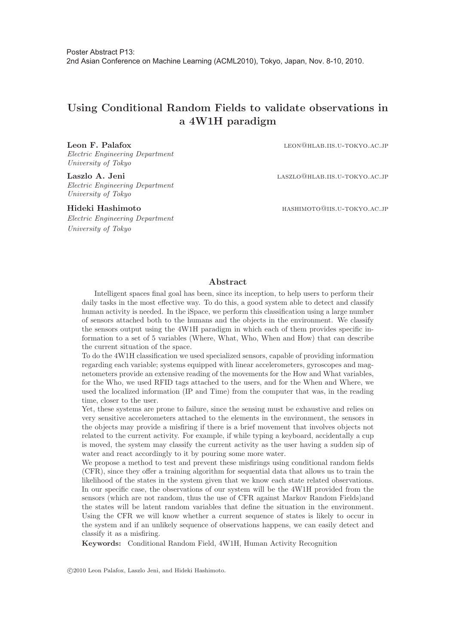## **Using Conditional Random Fields to validate observations in a 4W1H paradigm**

Electric Engineering Department University of Tokyo

Electric Engineering Department University of Tokyo

Electric Engineering Department University of Tokyo

Leon F. Palafox **LEON@HLAB.IIS.U-TOKYO.AC.JP** 

Laszlo A. Jeni **laszlo** A. Jeni **laszlo** LASZLO @HLAB.IIS.U-TOKYO.AC.JP

**Hideki Hashimoto** hashimoto@iis.u-tokyo.ac.jp

#### **Abstract**

Intelligent spaces final goal has been, since its inception, to help users to perform their daily tasks in the most effective way. To do this, a good system able to detect and classify human activity is needed. In the iSpace, we perform this classification using a large number of sensors attached both to the humans and the objects in the environment. We classify the sensors output using the 4W1H paradigm in which each of them provides specific information to a set of 5 variables (Where, What, Who, When and How) that can describe the current situation of the space.

To do the 4W1H classification we used specialized sensors, capable of providing information regarding each variable; systems equipped with linear accelerometers, gyroscopes and magnetometers provide an extensive reading of the movements for the How and What variables, for the Who, we used RFID tags attached to the users, and for the When and Where, we used the localized information (IP and Time) from the computer that was, in the reading time, closer to the user.

Yet, these systems are prone to failure, since the sensing must be exhaustive and relies on very sensitive accelerometers attached to the elements in the environment, the sensors in the objects may provide a misfiring if there is a brief movement that involves objects not related to the current activity. For example, if while typing a keyboard, accidentally a cup is moved, the system may classify the current activity as the user having a sudden sip of water and react accordingly to it by pouring some more water.

We propose a method to test and prevent these misfirings using conditional random fields (CFR), since they offer a training algorithm for sequential data that allows us to train the likelihood of the states in the system given that we know each state related observations. In our specific case, the observations of our system will be the 4W1H provided from the sensors (which are not random, thus the use of CFR against Markov Random Fields)and the states will be latent random variables that define the situation in the environment. Using the CFR we will know whether a current sequence of states is likely to occur in the system and if an unlikely sequence of observations happens, we can easily detect and classify it as a misfiring.

**Keywords:** Conditional Random Field, 4W1H, Human Activity Recognition

-c 2010 Leon Palafox, Laszlo Jeni, and Hideki Hashimoto.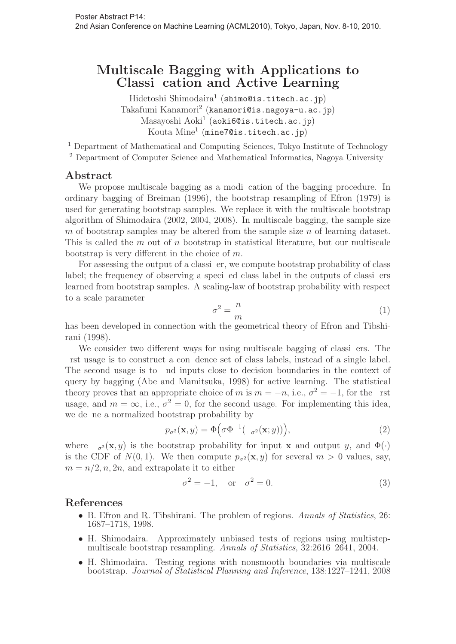## **Multiscale Bagging with Applications to Classi cation and Active Learning**

Hidetoshi Shimodaira<sup>1</sup> (shimo@is.titech.ac.jp) Takafumi Kanamori<sup>2</sup> (kanamori@is.nagoya-u.ac.jp) Masayoshi Aoki<sup>1</sup> (aoki6@is.titech.ac.jp) Kouta Mine<sup>1</sup> (mine7@is.titech.ac.jp)

<sup>1</sup> Department of Mathematical and Computing Sciences, Tokyo Institute of Technology

<sup>2</sup> Department of Computer Science and Mathematical Informatics, Nagoya University

### **Abstract**

We propose multiscale bagging as a modi cation of the bagging procedure. In ordinary bagging of Breiman (1996), the bootstrap resampling of Efron (1979) is used for generating bootstrap samples. We replace it with the multiscale bootstrap algorithm of Shimodaira (2002, 2004, 2008). In multiscale bagging, the sample size m of bootstrap samples may be altered from the sample size n of learning dataset. This is called the  $m$  out of  $n$  bootstrap in statistical literature, but our multiscale bootstrap is very different in the choice of m.

For assessing the output of a classi er, we compute bootstrap probability of class label; the frequency of observing a speci ed class label in the outputs of classi ers learned from bootstrap samples. A scaling-law of bootstrap probability with respect to a scale parameter

$$
\sigma^2 = \frac{n}{m} \tag{1}
$$

has been developed in connection with the geometrical theory of Efron and Tibshirani (1998).

We consider two different ways for using multiscale bagging of classi ers. The rst usage is to construct a con dence set of class labels, instead of a single label. The second usage is to nd inputs close to decision boundaries in the context of query by bagging (Abe and Mamitsuka, 1998) for active learning. The statistical theory proves that an appropriate choice of m is  $m = -n$ , i.e.,  $\sigma^2 = -1$ , for the rst usage, and  $m = \infty$ , i.e.,  $\sigma^2 = 0$ , for the second usage. For implementing this idea, we de ne a normalized bootstrap probability by

$$
p_{\sigma^2}(\mathbf{x}, y) = \Phi\left(\sigma \Phi^{-1}(-\sigma^2(\mathbf{x}; y))\right),\tag{2}
$$

where  $\sigma^2(\mathbf{x}, y)$  is the bootstrap probability for input **x** and output y, and  $\Phi(\cdot)$ is the CDF of  $N(0, 1)$ . We then compute  $p_{\sigma^2}(\mathbf{x}, y)$  for several  $m > 0$  values, say,  $m = n/2, n, 2n$ , and extrapolate it to either

$$
\sigma^2 = -1, \quad \text{or} \quad \sigma^2 = 0. \tag{3}
$$

- B. Efron and R. Tibshirani. The problem of regions. Annals of Statistics, 26: 1687–1718, 1998.
- H. Shimodaira. Approximately unbiased tests of regions using multistepmultiscale bootstrap resampling. Annals of Statistics, 32:2616–2641, 2004.
- H. Shimodaira. Testing regions with nonsmooth boundaries via multiscale bootstrap. Journal of Statistical Planning and Inference, 138:1227–1241, 2008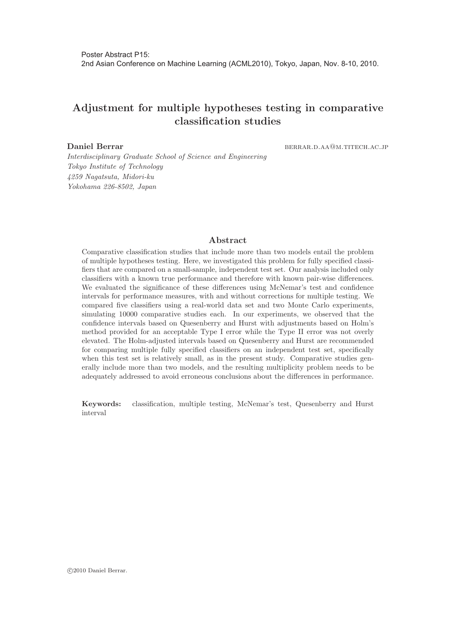## **Adjustment for multiple hypotheses testing in comparative classification studies**

**Daniel Berrar. berrar. berrar. berrar. berrar. berrar. berrar. berrar. berrar. berrar. berrar. berrar. berrar. berrar. berrar. berrar. berrar. berrar. berrar. berrar. berrar. berr** 

Interdisciplinary Graduate School of Science and Engineering Tokyo Institute of Technology 4259 Nagatsuta, Midori-ku Yokohama 226-8502, Japan

#### **Abstract**

Comparative classification studies that include more than two models entail the problem of multiple hypotheses testing. Here, we investigated this problem for fully specified classifiers that are compared on a small-sample, independent test set. Our analysis included only classifiers with a known true performance and therefore with known pair-wise differences. We evaluated the significance of these differences using McNemar's test and confidence intervals for performance measures, with and without corrections for multiple testing. We compared five classifiers using a real-world data set and two Monte Carlo experiments, simulating 10000 comparative studies each. In our experiments, we observed that the confidence intervals based on Quesenberry and Hurst with adjustments based on Holm's method provided for an acceptable Type I error while the Type II error was not overly elevated. The Holm-adjusted intervals based on Quesenberry and Hurst are recommended for comparing multiple fully specified classifiers on an independent test set, specifically when this test set is relatively small, as in the present study. Comparative studies generally include more than two models, and the resulting multiplicity problem needs to be adequately addressed to avoid erroneous conclusions about the differences in performance.

**Keywords:** classification, multiple testing, McNemar's test, Quesenberry and Hurst interval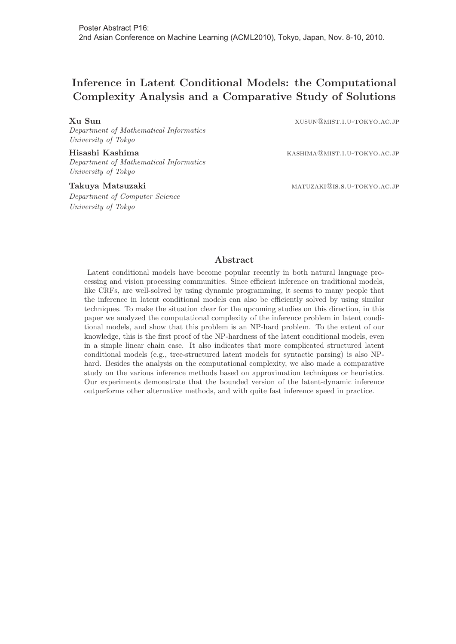## **Inference in Latent Conditional Models: the Computational Complexity Analysis and a Comparative Study of Solutions**

Department of Mathematical Informatics University of Tokyo

Department of Mathematical Informatics University of Tokyo

Department of Computer Science University of Tokyo

**Xu Sun** xusun@mist.i.u-tokyo.ac.jp

**Hisashi Kashima kashima** kashima kashima kashima kashima kashima kashima kashima kashima kashima kashima kashima kashima kashima kashima kashima kashima kashima kashima kashima kashima kashima kashima kashima kashima ka

**Takuya Matsuzaki** maturaki matuzaki matuzaki matuzaki matuzaki matuzaki matuzaki matuzaki matuzaki matuzaki matuzaki matuzaki matuzaki matuzaki matuzaki matuzaki matuzaki matuzaki matuzaki matuzaki matuzaki matuzaki matuz

#### **Abstract**

Latent conditional models have become popular recently in both natural language processing and vision processing communities. Since efficient inference on traditional models, like CRFs, are well-solved by using dynamic programming, it seems to many people that the inference in latent conditional models can also be efficiently solved by using similar techniques. To make the situation clear for the upcoming studies on this direction, in this paper we analyzed the computational complexity of the inference problem in latent conditional models, and show that this problem is an NP-hard problem. To the extent of our knowledge, this is the first proof of the NP-hardness of the latent conditional models, even in a simple linear chain case. It also indicates that more complicated structured latent conditional models (e.g., tree-structured latent models for syntactic parsing) is also NPhard. Besides the analysis on the computational complexity, we also made a comparative study on the various inference methods based on approximation techniques or heuristics. Our experiments demonstrate that the bounded version of the latent-dynamic inference outperforms other alternative methods, and with quite fast inference speed in practice.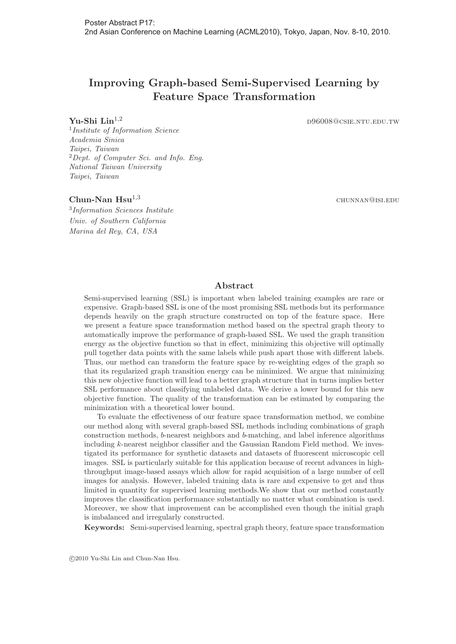## **Improving Graph-based Semi-Supervised Learning by Feature Space Transformation**

**Yu-Shi Lin<sup>1,2</sup>** d96008@csie.ntu.edu.tw

<sup>1</sup>Institute of Information Science Academia Sinica Taipei, Taiwan  ${}^{2}$ Dept. of Computer Sci. and Info. Eng. National Taiwan University Taipei, Taiwan

#### **Chun-Nan Hsu<sup>1,3</sup> chun-Nan Hsu<sup>1,3</sup>** chunnan@isi.edu

<sup>3</sup>Information Sciences Institute Univ. of Southern California Marina del Rey, CA, USA

#### **Abstract**

Semi-supervised learning (SSL) is important when labeled training examples are rare or expensive. Graph-based SSL is one of the most promising SSL methods but its performance depends heavily on the graph structure constructed on top of the feature space. Here we present a feature space transformation method based on the spectral graph theory to automatically improve the performance of graph-based SSL. We used the graph transition energy as the objective function so that in effect, minimizing this objective will optimally pull together data points with the same labels while push apart those with different labels. Thus, our method can transform the feature space by re-weighting edges of the graph so that its regularized graph transition energy can be minimized. We argue that minimizing this new objective function will lead to a better graph structure that in turns implies better SSL performance about classifying unlabeled data. We derive a lower bound for this new objective function. The quality of the transformation can be estimated by comparing the minimization with a theoretical lower bound.

To evaluate the effectiveness of our feature space transformation method, we combine our method along with several graph-based SSL methods including combinations of graph construction methods, b-nearest neighbors and b-matching, and label inference algorithms including k-nearest neighbor classifier and the Gaussian Random Field method. We investigated its performance for synthetic datasets and datasets of fluorescent microscopic cell images. SSL is particularly suitable for this application because of recent advances in highthroughput image-based assays which allow for rapid acquisition of a large number of cell images for analysis. However, labeled training data is rare and expensive to get and thus limited in quantity for supervised learning methods.We show that our method constantly improves the classification performance substantially no matter what combination is used. Moreover, we show that improvement can be accomplished even though the initial graph is imbalanced and irregularly constructed.

**Keywords:** Semi-supervised learning, spectral graph theory, feature space transformation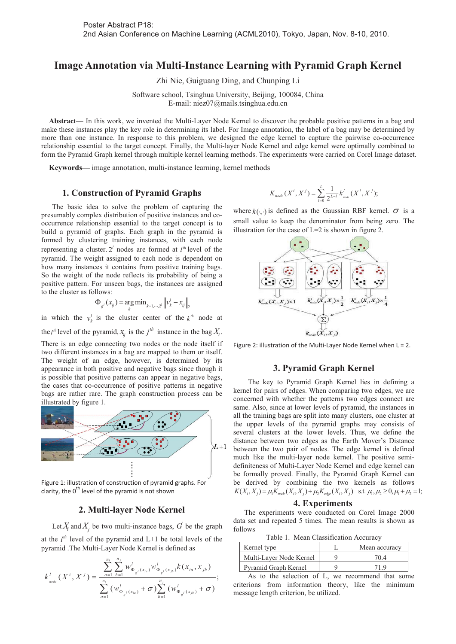### **Image Annotation via Multi-Instance Learning with Pyramid Graph Kernel**

Zhi Nie, Guiguang Ding, and Chunping Li

Software school, Tsinghua University, Beijing, 100084, China E-mail: niez07@mails.tsinghua.edu.cn

**Abstract—** In this work, we invented the Multi-Layer Node Kernel to discover the probable positive patterns in a bag and make these instances play the key role in determining its label. For Image annotation, the label of a bag may be determined by more than one instance. In response to this problem, we designed the edge kernel to capture the pairwise co-occurrence relationship essential to the target concept. Finally, the Multi-layer Node Kernel and edge kernel were optimally combined to form the Pyramid Graph kernel through multiple kernel learning methods. The experiments were carried on Corel Image dataset.

**Keywords—** image annotation, multi-instance learning, kernel methods

#### **1. Construction of Pyramid Graphs**

The basic idea to solve the problem of capturing the presumably complex distribution of positive instances and cooccurrence relationship essential to the target concept is to build a pyramid of graphs. Each graph in the pyramid is formed by clustering training instances, with each node representing a cluster.  $2^l$  nodes are formed at  $l^{\text{th}}$  level of the pyramid. The weight assigned to each node is dependent on how many instances it contains from positive training bags. So the weight of the node reflects its probability of being a positive pattern. For unseen bags, the instances are assigned to the cluster as follows:

$$
\Phi_{g'}(x_{ij}) = \underset{k}{\arg\min} \, \lim_{k=1,\cdots,2^1} \left\|v_k^l - x_{ij}\right\|_2
$$

in which the  $v_k^l$  is the cluster center of the  $k^{\textit{th}}$  node at

the *l*<sup>th</sup> level of the pyramid,  $x_{ij}$  is the *j*<sup>th</sup> instance in the bag  $X_i$ .

There is an edge connecting two nodes or the node itself if two different instances in a bag are mapped to them or itself. The weight of an edge, however, is determined by its appearance in both positive and negative bags since though it is possible that positive patterns can appear in negative bags, the cases that co-occurrence of positive patterns in negative bags are rather rare. The graph construction process can be illustrated by figure 1.



Figure 1: illustration of construction of pyramid graphs. For clarity, the 0<sup>th</sup> level of the pyramid is not shown

#### **2. Multi-layer Node Kernel**

Let  $X_i$  and  $X_j$  be two multi-instance bags,  $G$  be the graph at the  $l^{th}$  level of the pyramid and  $L+1$  be total levels of the pyramid .The Multi-Layer Node Kernel is defined as

$$
k_{\text{node}}^l(X^i, X^j) = \frac{\sum_{a=1}^{n_i} \sum_{b=1}^{n_j} w_{\Phi_{g^l}(x_{ia})}^l w_{\Phi_{g^l}(x_{jb})}^l k(x_{ia}, x_{jb})}{\sum_{a=1}^{n_i} (w_{\Phi_{g^l}(x_{ia})}^l + \sigma) \sum_{b=1}^{n_j} (w_{\Phi_{g^l}(x_{jb})}^l + \sigma)},
$$

$$
K_{node}(X^i, X^j) = \sum_{l=0}^{L} \frac{1}{2^{L-l}} k_{node}^l(X^i, X^j);
$$

where  $k(\cdot, \cdot)$  is defined as the Gaussian RBF kernel.  $\sigma$  is a small value to keep the denominator from being zero. The illustration for the case of  $L=2$  is shown in figure 2.



Figure 2: illustration of the Multi-Layer Node Kernel when  $L = 2$ .

#### **3. Pyramid Graph Kernel**

The key to Pyramid Graph Kernel lies in defining a kernel for pairs of edges. When comparing two edges, we are concerned with whether the patterns two edges connect are same. Also, since at lower levels of pyramid, the instances in all the training bags are split into many clusters, one cluster at the upper levels of the pyramid graphs may consists of several clusters at the lower levels. Thus, we define the distance between two edges as the Earth Mover's Distance between the two pair of nodes. The edge kernel is defined much like the multi-layer node kernel. The positive semidefiniteness of Multi-Layer Node Kernel and edge kernel can be formally proved. Finally, the Pyramid Graph Kernel can be derived by combining the two kernels as follows  $K(X_i, X_j) = \mu_1 K_{node}(X_i, X_j) + \mu_2 K_{edge}(X_i, X_j)$  s.t.  $\mu_1, \mu_2 \ge 0, \mu_1 + \mu_2 = 1;$ 

#### **4. Experiments**

The experiments were conducted on Corel Image 2000 data set and repeated 5 times. The mean results is shown as follows

Table 1. Mean Classification Accuracy

| Kernel type             | Mean accuracy |
|-------------------------|---------------|
| Multi-Layer Node Kernel | 70 A          |
| Pyramid Graph Kernel    |               |

As to the selection of L, we recommend that some criterions from information theory, like the minimum message length criterion, be utilized.